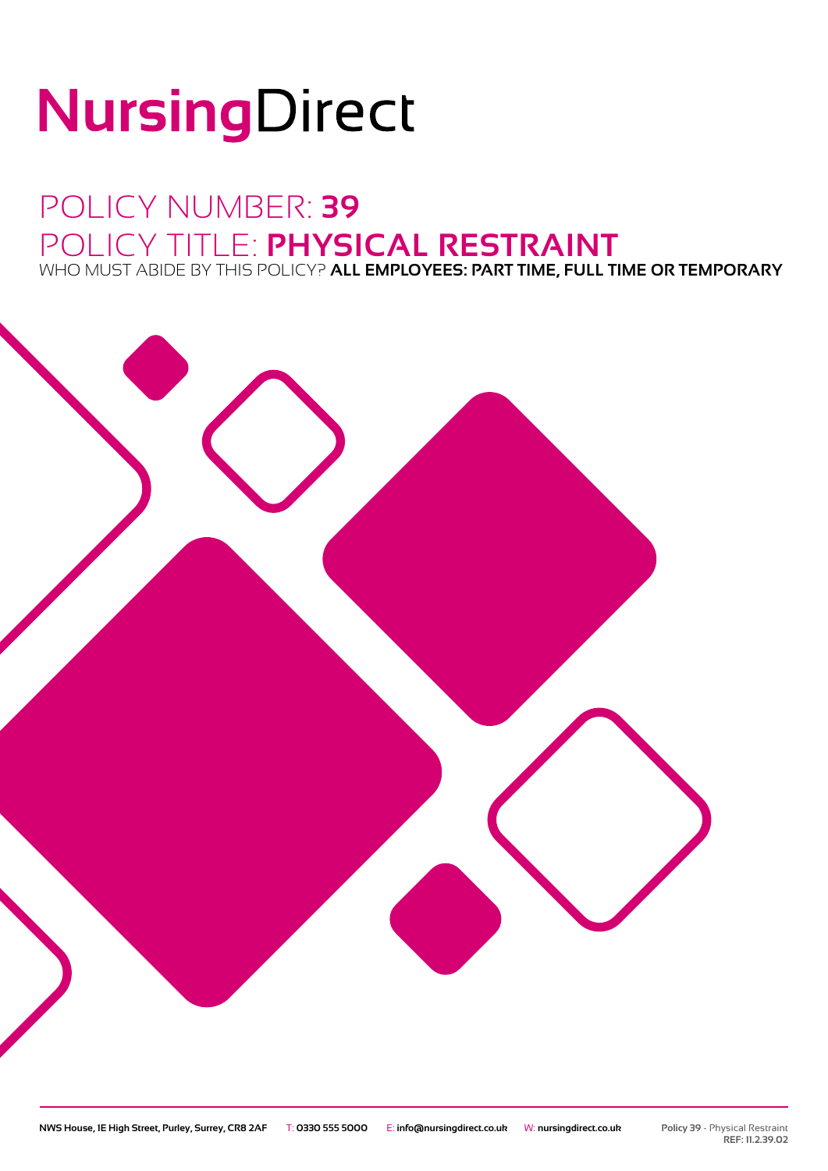# NursingDirect

## POLICY NUMBER: **39** POLICY TITLE: **PHYSICAL RESTRAINT** WHO MUST ABIDE BY THIS POLICY? **ALL EMPLOYEES: PART TIME, FULL TIME OR TEMPORARY**